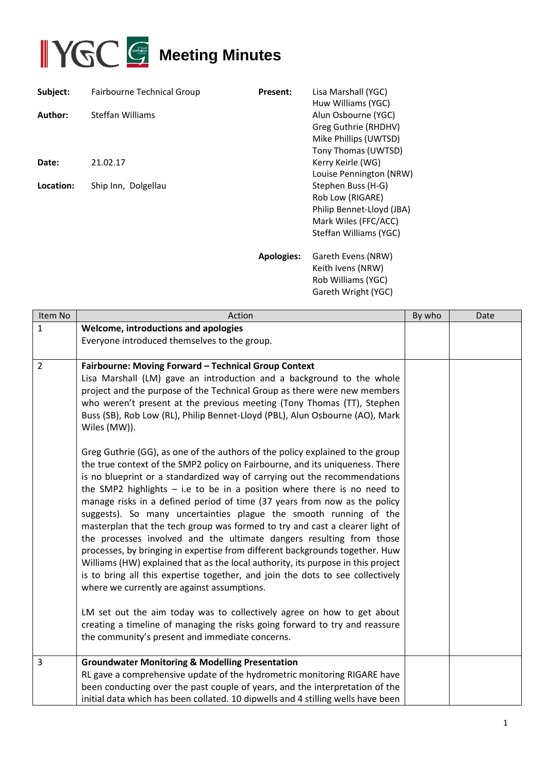

| Subject:  | <b>Fairbourne Technical Group</b> | <b>Present:</b>   | Lisa Marshall (YGC)<br>Huw Williams (YGC)                                                                             |
|-----------|-----------------------------------|-------------------|-----------------------------------------------------------------------------------------------------------------------|
| Author:   | <b>Steffan Williams</b>           |                   | Alun Osbourne (YGC)<br>Greg Guthrie (RHDHV)<br>Mike Phillips (UWTSD)<br>Tony Thomas (UWTSD)                           |
| Date:     | 21.02.17                          |                   | Kerry Keirle (WG)<br>Louise Pennington (NRW)                                                                          |
| Location: | Ship Inn, Dolgellau               |                   | Stephen Buss (H-G)<br>Rob Low (RIGARE)<br>Philip Bennet-Lloyd (JBA)<br>Mark Wiles (FFC/ACC)<br>Steffan Williams (YGC) |
|           |                                   | <b>Apologies:</b> | Gareth Evens (NRW)<br>Keith Ivens (NRW)<br>Rob Williams (YGC)                                                         |

| Item No        | Action                                                                                                                                                                                                                                                                                                                                                                                                                                                                                                                                                                                                                                                                                                                                                                                                                                                                                                                                                                                                                                                                                                                                                                                                                                                                                                                        | By who | Date |
|----------------|-------------------------------------------------------------------------------------------------------------------------------------------------------------------------------------------------------------------------------------------------------------------------------------------------------------------------------------------------------------------------------------------------------------------------------------------------------------------------------------------------------------------------------------------------------------------------------------------------------------------------------------------------------------------------------------------------------------------------------------------------------------------------------------------------------------------------------------------------------------------------------------------------------------------------------------------------------------------------------------------------------------------------------------------------------------------------------------------------------------------------------------------------------------------------------------------------------------------------------------------------------------------------------------------------------------------------------|--------|------|
| 1              | Welcome, introductions and apologies<br>Everyone introduced themselves to the group.                                                                                                                                                                                                                                                                                                                                                                                                                                                                                                                                                                                                                                                                                                                                                                                                                                                                                                                                                                                                                                                                                                                                                                                                                                          |        |      |
|                |                                                                                                                                                                                                                                                                                                                                                                                                                                                                                                                                                                                                                                                                                                                                                                                                                                                                                                                                                                                                                                                                                                                                                                                                                                                                                                                               |        |      |
| $\overline{2}$ | Fairbourne: Moving Forward - Technical Group Context<br>Lisa Marshall (LM) gave an introduction and a background to the whole<br>project and the purpose of the Technical Group as there were new members<br>who weren't present at the previous meeting (Tony Thomas (TT), Stephen<br>Buss (SB), Rob Low (RL), Philip Bennet-Lloyd (PBL), Alun Osbourne (AO), Mark<br>Wiles (MW)).<br>Greg Guthrie (GG), as one of the authors of the policy explained to the group<br>the true context of the SMP2 policy on Fairbourne, and its uniqueness. There<br>is no blueprint or a standardized way of carrying out the recommendations<br>the SMP2 highlights $-$ i.e to be in a position where there is no need to<br>manage risks in a defined period of time (37 years from now as the policy<br>suggests). So many uncertainties plague the smooth running of the<br>masterplan that the tech group was formed to try and cast a clearer light of<br>the processes involved and the ultimate dangers resulting from those<br>processes, by bringing in expertise from different backgrounds together. Huw<br>Williams (HW) explained that as the local authority, its purpose in this project<br>is to bring all this expertise together, and join the dots to see collectively<br>where we currently are against assumptions. |        |      |
|                | LM set out the aim today was to collectively agree on how to get about<br>creating a timeline of managing the risks going forward to try and reassure<br>the community's present and immediate concerns.                                                                                                                                                                                                                                                                                                                                                                                                                                                                                                                                                                                                                                                                                                                                                                                                                                                                                                                                                                                                                                                                                                                      |        |      |
| 3              | <b>Groundwater Monitoring &amp; Modelling Presentation</b><br>RL gave a comprehensive update of the hydrometric monitoring RIGARE have<br>been conducting over the past couple of years, and the interpretation of the<br>initial data which has been collated. 10 dipwells and 4 stilling wells have been                                                                                                                                                                                                                                                                                                                                                                                                                                                                                                                                                                                                                                                                                                                                                                                                                                                                                                                                                                                                                    |        |      |

Gareth Wright (YGC)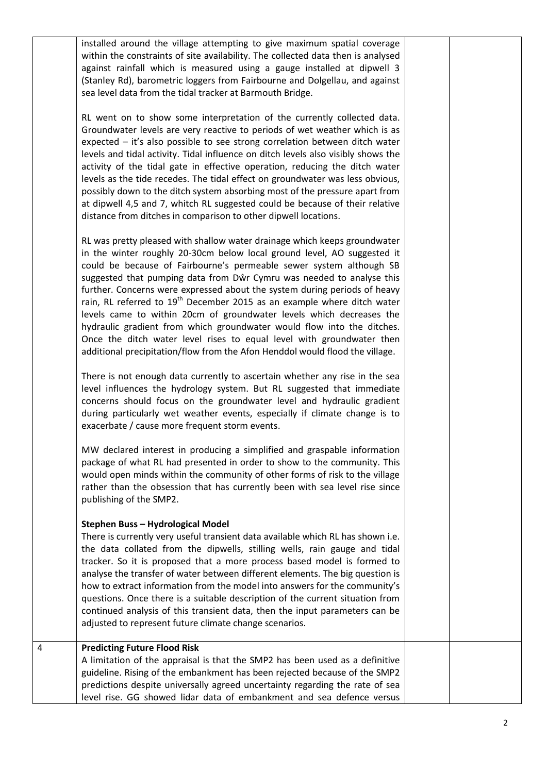|   | installed around the village attempting to give maximum spatial coverage<br>within the constraints of site availability. The collected data then is analysed<br>against rainfall which is measured using a gauge installed at dipwell 3<br>(Stanley Rd), barometric loggers from Fairbourne and Dolgellau, and against<br>sea level data from the tidal tracker at Barmouth Bridge.                                                                                                                                                                                                                                                                                                                                                                                                 |  |
|---|-------------------------------------------------------------------------------------------------------------------------------------------------------------------------------------------------------------------------------------------------------------------------------------------------------------------------------------------------------------------------------------------------------------------------------------------------------------------------------------------------------------------------------------------------------------------------------------------------------------------------------------------------------------------------------------------------------------------------------------------------------------------------------------|--|
|   | RL went on to show some interpretation of the currently collected data.<br>Groundwater levels are very reactive to periods of wet weather which is as<br>expected - it's also possible to see strong correlation between ditch water<br>levels and tidal activity. Tidal influence on ditch levels also visibly shows the<br>activity of the tidal gate in effective operation, reducing the ditch water<br>levels as the tide recedes. The tidal effect on groundwater was less obvious,<br>possibly down to the ditch system absorbing most of the pressure apart from<br>at dipwell 4,5 and 7, whitch RL suggested could be because of their relative<br>distance from ditches in comparison to other dipwell locations.                                                         |  |
|   | RL was pretty pleased with shallow water drainage which keeps groundwater<br>in the winter roughly 20-30cm below local ground level, AO suggested it<br>could be because of Fairbourne's permeable sewer system although SB<br>suggested that pumping data from Dŵr Cymru was needed to analyse this<br>further. Concerns were expressed about the system during periods of heavy<br>rain, RL referred to 19 <sup>th</sup> December 2015 as an example where ditch water<br>levels came to within 20cm of groundwater levels which decreases the<br>hydraulic gradient from which groundwater would flow into the ditches.<br>Once the ditch water level rises to equal level with groundwater then<br>additional precipitation/flow from the Afon Henddol would flood the village. |  |
|   | There is not enough data currently to ascertain whether any rise in the sea<br>level influences the hydrology system. But RL suggested that immediate<br>concerns should focus on the groundwater level and hydraulic gradient<br>during particularly wet weather events, especially if climate change is to<br>exacerbate / cause more frequent storm events.                                                                                                                                                                                                                                                                                                                                                                                                                      |  |
|   | MW declared interest in producing a simplified and graspable information<br>package of what RL had presented in order to show to the community. This<br>would open minds within the community of other forms of risk to the village<br>rather than the obsession that has currently been with sea level rise since<br>publishing of the SMP2.                                                                                                                                                                                                                                                                                                                                                                                                                                       |  |
|   | Stephen Buss - Hydrological Model<br>There is currently very useful transient data available which RL has shown i.e.<br>the data collated from the dipwells, stilling wells, rain gauge and tidal<br>tracker. So it is proposed that a more process based model is formed to<br>analyse the transfer of water between different elements. The big question is<br>how to extract information from the model into answers for the community's<br>questions. Once there is a suitable description of the current situation from<br>continued analysis of this transient data, then the input parameters can be<br>adjusted to represent future climate change scenarios.                                                                                                               |  |
| 4 | <b>Predicting Future Flood Risk</b><br>A limitation of the appraisal is that the SMP2 has been used as a definitive<br>guideline. Rising of the embankment has been rejected because of the SMP2<br>predictions despite universally agreed uncertainty regarding the rate of sea<br>level rise. GG showed lidar data of embankment and sea defence versus                                                                                                                                                                                                                                                                                                                                                                                                                           |  |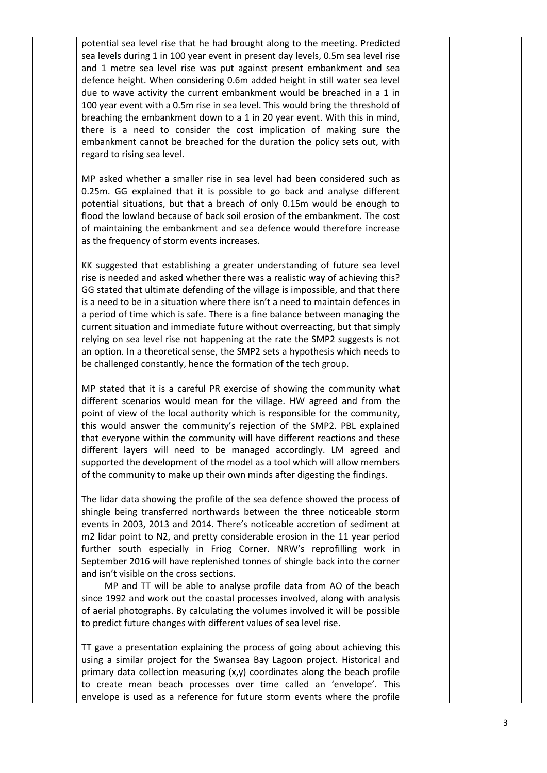potential sea level rise that he had brought along to the meeting. Predicted sea levels during 1 in 100 year event in present day levels, 0.5m sea level rise and 1 metre sea level rise was put against present embankment and sea defence height. When considering 0.6m added height in still water sea level due to wave activity the current embankment would be breached in a 1 in 100 year event with a 0.5m rise in sea level. This would bring the threshold of breaching the embankment down to a 1 in 20 year event. With this in mind, there is a need to consider the cost implication of making sure the embankment cannot be breached for the duration the policy sets out, with regard to rising sea level.

MP asked whether a smaller rise in sea level had been considered such as 0.25m. GG explained that it is possible to go back and analyse different potential situations, but that a breach of only 0.15m would be enough to flood the lowland because of back soil erosion of the embankment. The cost of maintaining the embankment and sea defence would therefore increase as the frequency of storm events increases.

KK suggested that establishing a greater understanding of future sea level rise is needed and asked whether there was a realistic way of achieving this? GG stated that ultimate defending of the village is impossible, and that there is a need to be in a situation where there isn't a need to maintain defences in a period of time which is safe. There is a fine balance between managing the current situation and immediate future without overreacting, but that simply relying on sea level rise not happening at the rate the SMP2 suggests is not an option. In a theoretical sense, the SMP2 sets a hypothesis which needs to be challenged constantly, hence the formation of the tech group.

MP stated that it is a careful PR exercise of showing the community what different scenarios would mean for the village. HW agreed and from the point of view of the local authority which is responsible for the community, this would answer the community's rejection of the SMP2. PBL explained that everyone within the community will have different reactions and these different layers will need to be managed accordingly. LM agreed and supported the development of the model as a tool which will allow members of the community to make up their own minds after digesting the findings.

The lidar data showing the profile of the sea defence showed the process of shingle being transferred northwards between the three noticeable storm events in 2003, 2013 and 2014. There's noticeable accretion of sediment at m2 lidar point to N2, and pretty considerable erosion in the 11 year period further south especially in Friog Corner. NRW's reprofilling work in September 2016 will have replenished tonnes of shingle back into the corner and isn't visible on the cross sections.

 MP and TT will be able to analyse profile data from AO of the beach since 1992 and work out the coastal processes involved, along with analysis of aerial photographs. By calculating the volumes involved it will be possible to predict future changes with different values of sea level rise.

TT gave a presentation explaining the process of going about achieving this using a similar project for the Swansea Bay Lagoon project. Historical and primary data collection measuring  $(x,y)$  coordinates along the beach profile to create mean beach processes over time called an 'envelope'. This envelope is used as a reference for future storm events where the profile